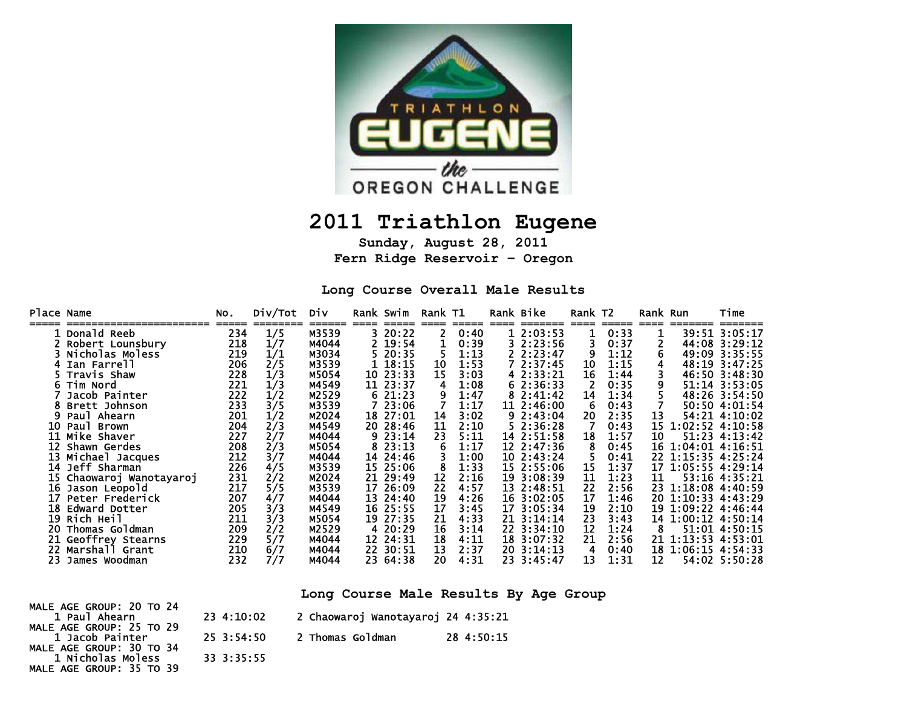

# **2011 Triathlon Eugene**

**Sunday, August 28, 2011 Fern Ridge Reservoir – Oregon** 

**Long Course Overall Male Results** 

**Long Course Male Results By Age Group** 

| MALE AGE GROUP: 20 TO 24 |            |                                    |            |
|--------------------------|------------|------------------------------------|------------|
| 1 Paul Ahearn            | 23 4:10:02 | 2 Chaowaroj Wanotayaroj 24 4:35:21 |            |
| MALE AGE GROUP: 25 TO 29 |            |                                    |            |
| 1 Jacob Painter          | 25 3:54:50 | 2 Thomas Goldman                   | 28 4:50:15 |
| MALE AGE GROUP: 30 TO 34 |            |                                    |            |
| 1 Nicholas Moless        | 33 3:35:55 |                                    |            |
| MALE AGE GROUP: 35 TO 39 |            |                                    |            |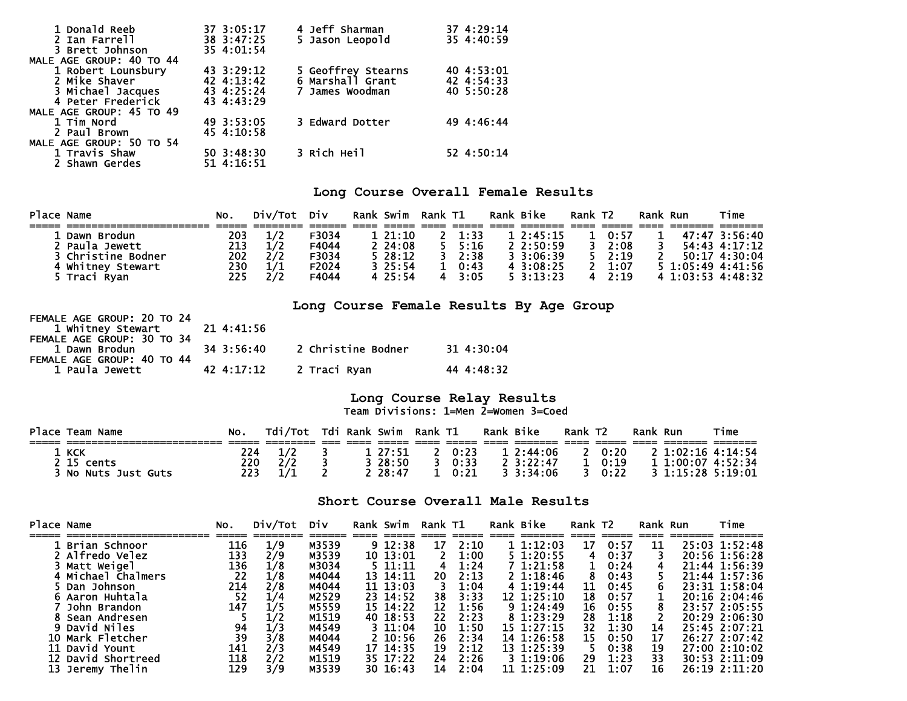| 1 Donald Reeb            | 37 3:05:17 | 4 Jeff Sharman     | 37 4:29:14 |
|--------------------------|------------|--------------------|------------|
| 2 Ian Farrell            | 38 3:47:25 | 5 Jason Leopold    | 35 4:40:59 |
| 3 Brett Johnson          | 35 4:01:54 |                    |            |
| MALE AGE GROUP: 40 TO 44 |            |                    |            |
| 1 Robert Lounsbury       | 43 3:29:12 | 5 Geoffrey Stearns | 40 4:53:01 |
| 2 Mike Shaver            | 42 4:13:42 | 6 Marshall Grant   | 42 4:54:33 |
| 3 Michael Jacques        | 43 4:25:24 | 7 James Woodman    | 40 5:50:28 |
| 4 Peter Frederick        | 43 4:43:29 |                    |            |
| MALE AGE GROUP: 45 TO 49 |            |                    |            |
| 1 Tim Nord               | 49 3:53:05 | 3 Edward Dotter    | 49 4:46:44 |
| 2 Paul Brown             | 45 4:10:58 |                    |            |
| MALE AGE GROUP: 50 TO 54 |            |                    |            |
| 1 Travis Shaw            | 50 3:48:30 | 3 Rich Heil        | 52 4:50:14 |
| 2 Shawn Gerdes           | 51 4:16:51 |                    |            |

## **Long Course Overall Female Results**

| Place Name |                    | NO. | Div/Tot Div |       | Rank Swim    | Rank T1 |                | Rank Bike |                   | Rank T2 |       | Rank Run |                   | Time              |
|------------|--------------------|-----|-------------|-------|--------------|---------|----------------|-----------|-------------------|---------|-------|----------|-------------------|-------------------|
|            |                    |     |             |       |              |         |                |           |                   |         |       |          |                   |                   |
|            | 1 Dawn Brodun      | 203 | 1/2         | F3034 | $1\,21:10$   |         | $2 \quad 1:33$ |           | 12:45:15          |         | 0:57  |          |                   | 47:47 3:56:40     |
|            | 2 Paula Jewett     | 213 | 1/2         | F4044 | $2\,24:08$   |         | $5 \t 5:16$    |           | 2.2:50:59         |         | 2:08  | 3.       |                   | 54:43 4:17:12     |
|            | 3 Christine Bodner | 202 | 2/2         | F3034 | $5\,28:12$   |         | $3 \quad 2:38$ |           | 3.3:06:39         |         | 2:19  |          |                   | 50:17 4:30:04     |
|            | 4 Whitney Stewart  | 230 | 1/1         | F2024 | $3\;\;25:54$ |         | $1 \t0.43$     |           | $4 \cdot 3:08:25$ |         | 1:07  |          |                   | 5 1:05:49 4:41:56 |
|            | 5 Traci Ryan       | 225 | 2/2         | F4044 | 4 25:54      |         | $4 \quad 3:05$ |           | $5 \cdot 3:13:23$ |         | 42:19 |          | 4 1:03:53 4:48:32 |                   |

**Long Course Female Results By Age Group** 

| FLMALL AGL GROUP. LV IV LT<br>1 Whitney Stewart 21 4:41:56 |            |                         |            |
|------------------------------------------------------------|------------|-------------------------|------------|
| FEMALE AGE GROUP: 30 TO 34                                 |            |                         |            |
| 1 Dawn Brodun                                              | 34 3:56:40 | 2 Christine Bodner      | 31 4:30:04 |
| FEMALE AGE GROUP: 40 TO 44                                 |            |                         |            |
| 1 Paula Jewett                                             |            | 42 4:17:12 2 Traci Ryan | 44 4:48:32 |

FEMALE AGE GROUP: 20 TO 24

#### **Long Course Relay Results**  Team Divisions: 1=Men 2=Women 3=Coed

| Place | Team Name                                    | NO. | Tdi/Tot  |  | Tdi Rank Swim | Rank T1 |        | Rank Bike |                   | Rank T <sub>2</sub> |      | Rank | Run             | Time    |
|-------|----------------------------------------------|-----|----------|--|---------------|---------|--------|-----------|-------------------|---------------------|------|------|-----------------|---------|
|       |                                              |     |          |  |               |         |        |           |                   |                     |      |      |                 |         |
|       | 1 кск                                        |     |          |  | 27:51         |         | 0:23   |           | 2:44:06           |                     | 0:20 |      | 1:02:16 4:14:54 |         |
|       | cents                                        | 220 | ר ר      |  | 28:50         |         | 0:33   |           | $2 \cdot 3:22:47$ |                     | 0:19 |      | 1:00:07         | 4:52:34 |
|       | <b>NO</b><br><b>Just Guts</b><br><b>Nuts</b> | 223 | $\prime$ |  | 28:47         |         | ሰ ፡ 21 |           | 3.3:34:06         |                     | 0:22 |      | 3 1 15 28       | 5:19:01 |

### **Short Course Overall Male Results**

| Place Name |                    | No. | Div/Tot Div |       | Rank Swim   | Rank T1 |      | Rank Bike      | Rank T2 |      | Rank Run | Time          |
|------------|--------------------|-----|-------------|-------|-------------|---------|------|----------------|---------|------|----------|---------------|
|            | . Brian Schnoor    | 116 | 1/9         | M3539 | $9 \t12:38$ | 17      | 2:10 | 11:12:03       | 17      | 0:57 | 11       | 25:03 1:52:48 |
|            | 2 Alfredo Velez    | 133 | 2/9         | M3539 | 10 13:01    |         | 1:00 | $5 \t1:20:55$  | 4       | 0:37 |          | 20:56 1:56:28 |
|            | Matt Weigel        | 136 | 1/8         | M3034 | 5 11:11     | 4       | 1:24 | 7 1:21:58      |         | 0:24 |          | 21:44 1:56:39 |
|            | 4 Michael Chalmers | 22  | 1/8         | M4044 | 13 14:11    | 20      | 2:13 | $2 \; 1:18:46$ |         | 0:43 |          | 21:44 1:57:36 |
|            | Dan Johnson        | 214 | 2/8         | M4044 | 11 13:03    |         | 1:04 | 4 1:19:44      | 11      | 0:45 |          | 23:31 1:58:04 |
|            | Aaron Huhtala      | 52  | 1/4         | M2529 | 23 14:52    | 38      | 3:33 | $12 \t1:25:10$ | 18      | 0:57 |          | 20:16 2:04:46 |
|            | John Brandon       | 147 | 1/5         | M5559 | 15 14:22    | 12      | 1:56 | 91:24:49       | 16      | 0:55 |          | 23:57 2:05:55 |
|            | Sean Andresen      |     |             | M1519 | 40 18:53    | 22      | 2:23 | 8 1:23:29      | 28      | 1:18 |          | 20:29 2:06:30 |
|            | 9 David Niles      | 94  | 1/3         | M4549 | 3 11:04     | 10      | 1:50 | 15 1:27:15     | 32      | 1:30 | 14       | 25:45 2:07:21 |
|            | 10 Mark Fletcher   | 39  | 3/8         | M4044 | $2\;10:56$  | 26      | 2:34 | 14 1:26:58     | 15      | 0:50 | 17       | 26:27 2:07:42 |
|            | David Yount        | 141 | 2/3         | M4549 | 17 14:35    | 19      | 2:12 | 13 1:25:39     |         | 0:38 | 19       | 27:00 2:10:02 |
|            | 12 David Shortreed | 118 | 2/2         | M1519 | 35 17:22    | 24      | 2:26 | 31:19:06       | 29      | 1:23 | 33       | 30:53 2:11:09 |
| 13         | Jeremv Thelin      | 129 | 3/9         | M3539 | 30 16:43    | 14      | 2:04 | 11 1:25:09     | 21      | 1:07 | 16       | 26:19 2:11:20 |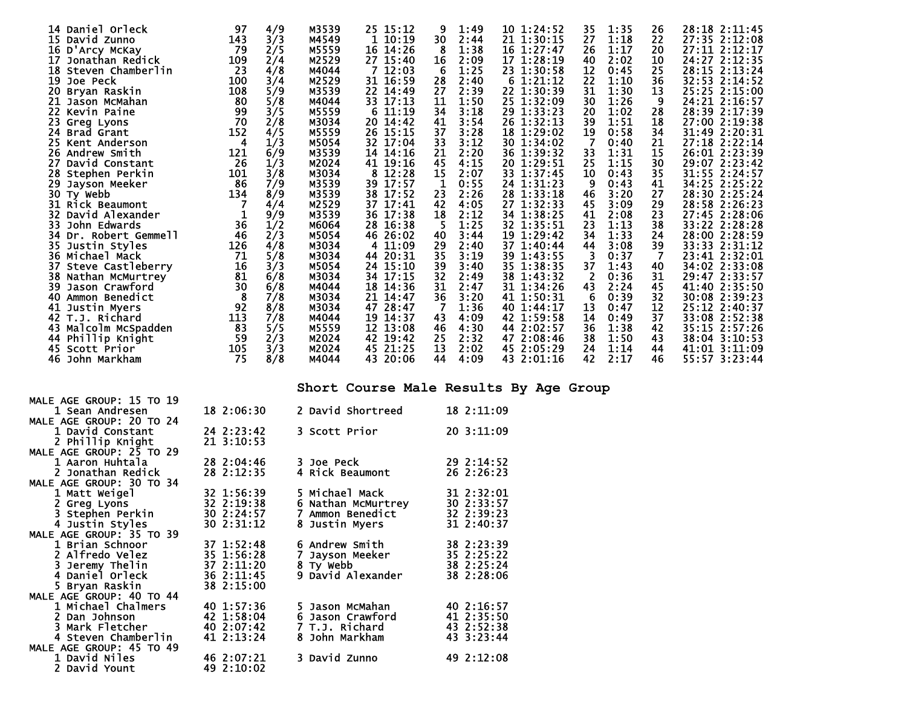|     | 14 Daniel Orleck       | 97              | 4/9 | M3539 | 25 15:12    | 9<br>1:49            | 10 1:24:52 | 35             | 1:35 | 26             | 28:18 2:11:45 |
|-----|------------------------|-----------------|-----|-------|-------------|----------------------|------------|----------------|------|----------------|---------------|
|     | 15 David Zunno         | 143             | 3/3 | M4549 | 1 10:19     | 30<br>2:44           | 21 1:30:15 | 27             | 1:18 | 22             | 27:35 2:12:08 |
|     | 16 D'Arcy McKay        | 79              | 2/5 | M5559 | 16 14:26    | 1:38<br>-8           | 16 1:27:47 | 26             | 1:17 | 20             | 27:11 2:12:17 |
| 17  | Jonathan Redick        | 109             | 2/4 | M2529 | 27 15:40    | 16<br>2:09           | 17 1:28:19 | 40             | 2:02 | 10             | 24:27 2:12:35 |
|     | 18 Steven Chamberlin   | $\overline{23}$ | 4/8 | M4044 | 712:03      | 6<br>1:25            | 23 1:30:58 | 12             | 0:45 | 25             | 28:15 2:13:24 |
| 19  | Joe Peck               | 100             | 3/4 | M2529 | 31 16:59    | 28<br>2:40           | 6 1:21:12  | 22             | 1:10 | 36             | 32:53 2:14:52 |
| 20  | Bryan Raskin           | 108             | 5/9 | M3539 | 22 14:49    | 27<br>2:39           | 22 1:30:39 | 31             | 1:30 | 13             | 25:25 2:15:00 |
| 21  | Jason McMahan          | 80              | 5/8 | M4044 | 33 17:13    | 11<br>1:50           | 25 1:32:09 | 30             | 1:26 | 9              | 24:21 2:16:57 |
| 22. | Kevin Paine            | 99              | 3/5 | M5559 | 6 11:19     | 34<br>3:18           | 29 1:33:23 | 20             | 1:02 | 28             | 28:39 2:17:39 |
|     | 23 Greg Lyons          | 70              | 2/8 | M3034 | 20 14:42    | 41<br>3:54           | 26 1:32:13 | 39             | 1:51 | 18             | 27:00 2:19:38 |
|     | 24 Brad Grant          | 152             | 4/5 | M5559 | 26 15:15    | 37<br>3:28           | 18 1:29:02 | 19             | 0:58 | 34             | 31:49 2:20:31 |
|     | 25 Kent Anderson       | 4               | 1/3 | M5054 | 32 17:04    | 33<br>3:12           | 30 1:34:02 |                | 0:40 | 21             | 27:18 2:22:14 |
|     | <b>26 Andrew Smith</b> | 121             | 6/9 | M3539 | 14 14:16    | 21<br>2:20           | 36 1:39:32 | 33             | 1:31 | 15             | 26:01 2:23:39 |
| 27  | David Constant         | 26              | 1/3 | M2024 | 41 19:16    | 45<br>4:15           | 20 1:29:51 | 25             | 1:15 | 30             | 29:07 2:23:42 |
|     | 28 Stephen Perkin      | 101             | 3/8 | M3034 | 8 12:28     | 15<br>2:07           | 33 1:37:45 | 10             | 0:43 | 35             | 31:55 2:24:57 |
| 29. | Jayson Meeker          | 86              | 7/9 | M3539 | 39 17:57    | $\mathbf{1}$<br>0:55 | 24 1:31:23 | 9              | 0:43 | 41             | 34:25 2:25:22 |
|     | 30 Ty webb             | 134             | 8/9 | M3539 | 38 17:52    | 2:26<br>23           | 28 1:33:18 | 46             | 3:20 | 27             | 28:30 2:25:24 |
|     | 31 Rick Beaumont       |                 | 4/4 | M2529 | 37 17:41    | 42<br>4:05           | 27 1:32:33 | 45             | 3:09 | 29             | 28:58 2:26:23 |
|     | 32 David Alexander     |                 | 9/9 | M3539 | 36 17:38    | 18<br>2:12           | 34 1:38:25 | 41             | 2:08 | 23             | 27:45 2:28:06 |
| 33  | John Edwards           |                 | 1/2 | M6064 | 16:38<br>28 | 5<br>1:25            | 32 1:35:51 | 23             | 1:13 | 38             | 33:22 2:28:28 |
|     | 34 Dr. Robert Gemmell  | $\frac{36}{46}$ | 2/3 | M5054 | 26:02<br>46 | 3:44<br>40           | 19 1:29:42 | 34             | 1:33 | 24             | 28:00 2:28:59 |
|     | 35 Justin Styles       | 126             | 4/8 | M3034 | 4 11:09     | 29<br>2:40           | 37 1:40:44 | 44             | 3:08 | 39             | 33:33 2:31:12 |
|     | 36 Michael Mack        | 71              | 5/8 | M3034 | 44 20:31    | 35<br>3:19           | 39 1:43:55 | 3              | 0:37 | $\overline{7}$ | 23:41 2:32:01 |
|     | 37 Steve Castleberry   |                 | 3/3 | M5054 | 24 15:10    | 39<br>3:40           | 35 1:38:35 | 37             | 1:43 | 40             | 34:02 2:33:08 |
|     | 38 Nathan McMurtrey    | $\frac{1}{81}$  | 6/8 | M3034 | 34 17:15    | 32<br>2:49           | 38 1:43:32 | $\overline{2}$ | 0:36 | 31             | 29:47 2:33:57 |
|     | 39 Jason Crawford      | 30              | 6/8 | M4044 | 18 14:36    | 31<br>2:47           | 31 1:34:26 | 43             | 2:24 | 45             | 41:40 2:35:50 |
| 40  | Ammon Benedict         | 8               | 7/8 | M3034 | 21<br>14:47 | 36<br>3:20           | 41 1:50:31 | 6              | 0:39 | 32             | 30:08 2:39:23 |
|     | 41 Justin Myers        | 92              | 8/8 | M3034 | 28:47<br>47 | 1:36<br>-7           | 40 1:44:17 | 13             | 0:47 | 12             | 25:12 2:40:37 |
|     | 42 T.J. Richard        | 113             | 7/8 | M4044 | 19 14:37    | 43<br>4:09           | 42 1:59:58 | 14             | 0:49 | 37             | 33:08 2:52:38 |
|     | 43 Malcolm McSpadden   | 83              | 5/5 | M5559 | 12 13:08    | 46<br>4:30           | 44 2:02:57 | 36             | 1:38 | 42             | 35:15 2:57:26 |
|     | 44 Phillip Knight      | 59              | 2/3 | M2024 | 42 19:42    | 25<br>2:32           | 47 2:08:46 | 38             | 1:50 | 43             | 38:04 3:10:53 |
|     | 45 Scott Prior         | 105             | 3/3 | M2024 | 45 21:25    | 13<br>2:02           | 45 2:05:29 | 24             | 1:14 | 44             | 41:01 3:11:09 |
|     | 46 John Markham        | 75              | 8/8 | M4044 | 43 20:06    | 44<br>4:09           | 43 2:01:16 | 42             | 2:17 | 46             | 55:57 3:23:44 |

**Short Course Male Results By Age Group** 

| MALE AGE GROUP: 15 TO 19                    |                          |                                |                          |
|---------------------------------------------|--------------------------|--------------------------------|--------------------------|
| 1 Sean Andresen                             | 18 2:06:30               | 2 David Shortreed              | 18 2:11:09               |
| MALE AGE GROUP: 20 TO 24                    |                          |                                |                          |
| 1 David Constant                            | 24 2:23:42               | 3 Scott Prior                  | 20.3:11:09               |
| 2 Phillip Knight                            | 21, 3:10:53              |                                |                          |
| MALE AGE GROUP: 25 TO 29<br>1 Aaron Huhtala | 28 2:04:46               | <b>3 Joe Peck</b>              | $29 \t2:14:52$           |
| 2 Jonathan Redick                           | 28 2:12:35               | 4 Rick Beaumont                | 26 2:26:23               |
| MALE AGE GROUP: 30 TO 34                    |                          |                                |                          |
| 1 Matt Weigel                               | 32 1:56:39               | 5 Michael Mack                 | 31 2:32:01               |
| 2 Greg Lyons                                | 32 2:19:38               | 6 Nathan McMurtrey             | 30 2:33:57               |
| 3 Stephen Perkin                            | $30 \t2:24:57$           | 7 Ammon Benedict               | 32 2:39:23               |
| 4 Justin Styles                             | 30 2:31:12               | 8 Justin Myers                 | 31 2:40:37               |
| MALE AGE GROUP: 35 TO 39                    |                          |                                |                          |
| 1 Brian Schnoor                             | 37 1:52:48               | 6 Andrew Smith                 | 38 2:23:39               |
| <b>2 Alfredo Velez</b>                      | 35 1:56:28               | Jayson Meeker<br>7             | 35 2:25:22               |
| 3 Jeremy Thelin<br>4 Daniel Orleck          | 37 2:11:20<br>36 2:11:45 | 8 Ty webb<br>9 David Alexander | 38 2:25:24<br>38 2:28:06 |
| 5 Bryan Raskin                              | 38 2:15:00               |                                |                          |
| MALE AGE GROUP: 40 TO 44                    |                          |                                |                          |
| 1 Michael Chalmers                          | 40 1:57:36               | 5 Jason McMahan                | 40 2:16:57               |
| 2 Dan Johnson                               | 42 1:58:04               | 6 Jason Crawford               | 41 2:35:50               |
| 3 Mark Fletcher                             | 40 2:07:42               | 7 T.J. Richard                 | 43 2:52:38               |
| 4 Steven Chamberlin                         | $41 \t2:13:24$           | 8 John Markham                 | 43 3:23:44               |
| MALE AGE GROUP: 45 TO 49                    |                          |                                |                          |
| 1 David Niles                               | 46 2:07:21               | 3 David Zunno                  | 49 2:12:08               |
| 2 David Yount                               | 492:10:02                |                                |                          |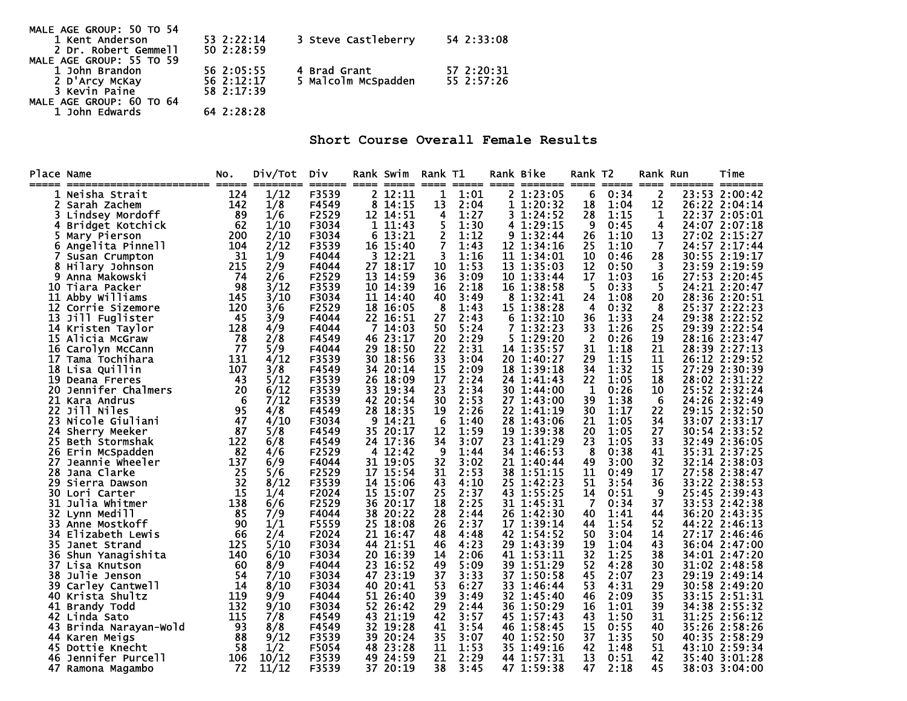| MALE AGE GROUP: 50 TO 54 |            |                     |            |
|--------------------------|------------|---------------------|------------|
| 1 Kent Anderson          | 53 2:22:14 | 3 Steve Castleberry | 54 2:33:08 |
| 2 Dr. Robert Gemmell     | 50 2:28:59 |                     |            |
| MALE AGE GROUP: 55 TO 59 |            |                     |            |
| 1 John Brandon           | 56 2:05:55 | 4 Brad Grant        | 57 2:20:31 |
| 2 D'Arcy McKay           | 56 2:12:17 | 5 Malcolm McSpadden | 55 2:57:26 |
| 3 Kevin Paine            | 58 2:17:39 |                     |            |
| MALE AGE GROUP: 60 TO 64 |            |                     |            |
| 1 John Edwards           | 64 2:28:28 |                     |            |

**Short Course Overall Female Results** 

| Place Name<br>===== | ==================== | NO.<br>===== | Div/Tot<br><b>Excessive</b> | Div<br>====== | ----- | Rank Swim<br>$=$ $=$ $=$ $=$ | Rank T1<br>==== | $=====$ |   | Rank Bike<br>==== ======= | Rank T2<br>----- | $=$ $=$ $=$ $=$ | Rank Run<br>==== | ======= | Time<br>$\qquad \qquad \blacksquare \blacksquare \blacksquare \blacksquare \blacksquare \blacksquare \blacksquare$ |
|---------------------|----------------------|--------------|-----------------------------|---------------|-------|------------------------------|-----------------|---------|---|---------------------------|------------------|-----------------|------------------|---------|--------------------------------------------------------------------------------------------------------------------|
|                     | Neisha Strait        | 124          | 1/12                        | F3539         |       | 2 12:11                      | 1               | 1:01    |   | $2\;1:23:05$              | 6                | 0:34            | 2                |         | 23:53 2:00:42                                                                                                      |
|                     | Sarah Zachem         | 142          | 1/8                         | F4549         | 8     | 14:15                        | 13              | 2:04    |   | 1 1:20:32                 | 18               | 1:04            | 12               |         | 26:22 2:04:14                                                                                                      |
|                     | Lindsey Mordoff      | 89           | 1/6                         | F2529         |       | 12 14:51                     | 4               | 1:27    |   | 31:24:52                  | 28               | 1:15            | 1                |         | 22:37 2:05:01                                                                                                      |
|                     | Bridget Kotchick     | 62           | 1/10                        | F3034         |       | 1 11:43                      | 5               | 1:30    |   | 4 1:29:15                 | 9                | 0:45            | 4                |         | 24:07 2:07:18                                                                                                      |
|                     | Mary Pierson         | 200          | 2/10                        | F3034         | 6     | 13:21                        | 2               | 1:12    | 9 | 1:32:44                   | 26               | 1:10            | 13               |         | 27:02 2:15:27                                                                                                      |
| 6                   | Angelita Pinnell     | 104          | 2/12                        | F3539         |       | 16 15:40                     | 7               | 1:43    |   | $12 \t1:34:16$            | 25               | 1:10            | -7               |         | 24:57 2:17:44                                                                                                      |
|                     | Susan Crumpton       | 31           | 1/9                         | F4044         | 3.    | 12:21                        | 3               | 1:16    |   | 11 1:34:01                | 10               | 0:46            | 28               |         | 30:55 2:19:17                                                                                                      |
| 8                   | Hilary Johnson       | 215          | 2/9                         | F4044         |       | 27 18:17                     | 10              | 1:53    |   | 13 1:35:03                | 12               | 0:50            | 3                |         | 23:59 2:19:59                                                                                                      |
| 9                   | Anna Makowski        | 74           | 2/6                         | F2529         | 13    | 14:59                        | 36              | 3:09    |   | 10 1:33:44                | 17               | 1:03            | 16               |         | 27:53 2:20:45                                                                                                      |
| 10                  | Tiara Packer         | 98           | 3/12                        | F3539         |       | 10 14:39                     | 16              | 2:18    |   | 16 1:38:58                | 5                | 0:33            | 5                |         | 24:21 2:20:47                                                                                                      |
| 11                  | Abby Williams        | 145          | 3/10                        | F3034         |       | 11 14:40                     | 40              | 3:49    | 8 | 1:32:41                   | 24               | 1:08            | 20               |         | 28:36 2:20:51                                                                                                      |
| 12                  | Corrie Sizemore      | 120          | 3/6                         | F2529         |       | 18 16:05                     | 8               | 1:43    |   | 15 1:38:28                | 4                | 0:32            | 8                |         | 25:37 2:22:23                                                                                                      |
| 13                  | Jill Fuglister       | 45           | 3/9                         | F4044         |       | 22 16:51                     | 27              | 2:43    |   | 61:32:10                  | 36               | 1:33            | 24               |         | 29:38 2:22:52                                                                                                      |
| 14                  | Kristen Taylor       | 128          | 4/9                         | F4044         | 7     | 14:03                        | 50              | 5:24    |   | 7 1:32:23                 | 33               | 1:26            | 25               | 29:39   | 2:22:54                                                                                                            |
| 15                  | Alicia McGraw        | 78           | 2/8                         | F4549         |       | 46 23:17                     | 20              | 2:29    |   | 5 1:29:20                 | 2                | 0:26            | 19               |         | 28:16 2:23:47                                                                                                      |
| 16                  | Carolyn McCann       | 77           | 5/9                         | F4044         | 29.   | 18:50                        | 22              | 2:31    |   | 14 1:35:57                | 31               | 1:18            | 21               |         | 28:39 2:27:13                                                                                                      |
| 17                  | Tama Tochihara       | 131          | 4/12                        | F3539         | 30 .  | 18:56                        | 33              | 3:04    |   | 20 1:40:27                | 29               | 1:15            | 11               |         | 26:12 2:29:52                                                                                                      |
| 18                  | Lisa Quillin         | 107          | 3/8                         | F4549         | 34    | 20:14                        | 15              | 2:09    |   | 18 1:39:18                | 34               | 1:32            | 15               | 27:29   | 2:30:39                                                                                                            |
| 19                  | Deana Freres         | 43           | 5/12                        | F3539         | 26    | 18:09                        | 17              | 2:24    |   | 24 1:41:43                | 22               | 1:05            | 18               |         | 28:02 2:31:22                                                                                                      |
| 20                  | Jennifer Chalmers    | 20           | 6/12                        | F3539         | 33.   | 19:34                        | 23              | 2:34    |   | 30 1:44:00                | 1                | 0:26            | 10               |         | 25:52 2:32:24                                                                                                      |
| 21                  | Kara Andrus          | 6            | 7/12                        | F3539         |       | 42 20:54                     | 30              | 2:53    |   | 27 1:43:00                | 39               | 1:38            | -6               |         | 24:26 2:32:49                                                                                                      |
| 22                  | Jill Niles           | 95           | 4/8                         | F4549         | 28    | 18:35                        | 19              | 2:26    |   | 22 1:41:19                | 30               | 1:17            | 22               |         | 29:15 2:32:50                                                                                                      |
| 23                  | Nicole Giuliani      | 47           | 4/10                        | F3034         | 9     | 14:21                        | -6              | 1:40    |   | 28 1:43:06                | 21               | 1:05            | 34               |         | 33:07 2:33:17                                                                                                      |
| 24                  | Sherry Meeker        | 87           | 5/8                         | F4549         |       | 35 20:17                     | 12              | 1:59    |   | $19 \t1:39:38$            | 20               | 1:05            | 27               |         | 30:54 2:33:52                                                                                                      |
| 25                  | Beth Stormshak       | 122          | 6/8                         | F4549         |       | 24 17:36                     | 34              | 3:07    |   | 23 1:41:29                | 23               | 1:05            | 33               |         | 32:49 2:36:05                                                                                                      |
| 26                  | Erin McSpadden       | 82           | 4/6                         | F2529         | 4     | 12:42                        | 9               | 1:44    |   | 34 1:46:53                | 8                | 0:38            | 41               |         | 35:31 2:37:25                                                                                                      |
| 27                  | Jeannie Wheeler      | 137          | 6/9                         | F4044         |       | 31 19:05                     | 32              | 3:02    |   | 21 1:40:44                | 49               | 3:00            | 32               |         | 32:14 2:38:03                                                                                                      |
| 28                  | Jana Clarke          | 25           | 5/6                         | F2529         |       | 17 15:54                     | 31              | 2:53    |   | 38 1:51:15                | 11               | 0:49            | 17               | 27:58   | 2:38:47                                                                                                            |
| 29                  | Sierra Dawson        | 32           | 8/12                        | F3539         |       | 14 15:06                     | 43              | 4:10    |   | 25 1:42:23                | 51               | 3:54            | 36               |         | 33:22 2:38:53                                                                                                      |
| 30                  | Lori Carter          | 15           | 1/4                         | F2024         |       | 15 15:07                     | 25              | 2:37    |   | 43 1:55:25                | 14               | 0:51            | 9                |         | 25:45 2:39:43                                                                                                      |
| 31                  | Julia Whitmer        | 138          | 6/6                         | F2529         |       | 36 20:17                     | 18              | 2:25    |   | 31 1:45:31                | $\overline{7}$   | 0:34            | 37               |         | 33:53 2:42:38                                                                                                      |
| 32                  | Lynn Medill          | 85           | 7/9                         | F4044         | 38    | 20:22                        | 28              | 2:44    |   | 26 1:42:30                | 40               | 1:41            | 44               |         | 36:20 2:43:35                                                                                                      |
| 33                  | Anne Mostkoff        | 90           | 1/1                         | F5559         | 25    | 18:08                        | 26              | 2:37    |   | 17 1:39:14                | 44               | 1:54            | 52               |         | 44:22 2:46:13                                                                                                      |
| 34                  | Elizabeth Lewis      | 66           | 2/4                         | F2024         | 21    | 16:47                        | 48              | 4:48    |   | 42 1:54:52                | 50               | 3:04            | 14               |         | 27:17 2:46:46                                                                                                      |
| 35                  | Janet Strand         | 125          | 5/10                        | F3034         | 44    | 21:51                        | 46              | 4:23    |   | 29 1:43:39                | 19               | 1:04            | 43               |         | 36:04 2:47:00                                                                                                      |
| 36                  | Shun Yanagishita     | 140          | 6/10                        | F3034         |       | 20 16:39                     | 14              | 2:06    |   | 41 1:53:11                | 32               | 1:25            | 38               |         | 34:01 2:47:20                                                                                                      |
| 37                  | Lisa Knutson         | 60           | 8/9                         | F4044         | 23.   | 16:52                        | 49              | 5:09    |   | 39 1:51:29                | 52               | 4:28            | 30               |         | 31:02 2:48:58                                                                                                      |
| 38                  | Julie Jenson         | 54           | 7/10                        | F3034         |       | 47 23:19                     | 37              | 3:33    |   | 37 1:50:58                | 45               | 2:07            | 23               | 29:19   | 2:49:14                                                                                                            |
| 39                  | Carley Cantwell      | 14           | 8/10                        | F3034         | 40    | 20:41                        | 53              | 6:27    |   | 33 1:46:44                | 53               | 4:31            | 29               | 30:58   | 2:49:20                                                                                                            |
| 40                  | Krista Shultz        | 119          | 9/9                         | F4044         |       | 51 26:40                     | 39              | 3:49    |   | 32 1:45:40                | 46               | 2:09            | 35               |         | 33:15 2:51:31                                                                                                      |
| 41                  | Brandy Todd          | 132          | 9/10                        | F3034         | 52    | 26:42                        | 29              | 2:44    |   | 36 1:50:29                | 16               | 1:01            | 39               | 34:38   | 2:55:32                                                                                                            |
| 42                  | Linda Sato           | 115          | 7/8                         | F4549         |       | 43 21:19                     | 42              | 3:57    |   | 45 1:57:43                | 43               | 1:50            | 31               |         | 31:25 2:56:12                                                                                                      |
| 43                  | Brinda Narayan-Wold  | 93           | 8/8                         | F4549         |       | 32 19:28                     | 41              | 3:54    |   | 46 1:58:45                | 15               | 0:55            | 40               | 35:26   | 2:58:26                                                                                                            |
| 44                  | Karen Meigs          | 88           | 9/12                        | F3539         |       | 39 20:24                     | 35              | 3:07    |   | 40 1:52:50                | 37               | 1:35            | 50               |         | 40:35 2:58:29                                                                                                      |
| 45                  | Dottie Knecht        | 58           | 1/2                         | F5054         | 48    | 23:28                        | 11              | 1:53    |   | 35 1:49:16                | 42               | 1:48            | 51               |         | 43:10 2:59:34                                                                                                      |
| 46                  | Jennifer Purcell     | 106          | 10/12                       | F3539         |       | 49 24:59                     | 21              | 2:29    |   | 44 1:57:31                | 13               | 0:51            | 42               |         | 35:40 3:01:28                                                                                                      |
|                     | 47 Ramona Magambo    | 72           | 11/12                       | F3539         |       | 37 20:19                     | 38              | 3:45    |   | 47 1:59:38                | 47               | 2:18            | 45               |         | 38:03 3:04:00                                                                                                      |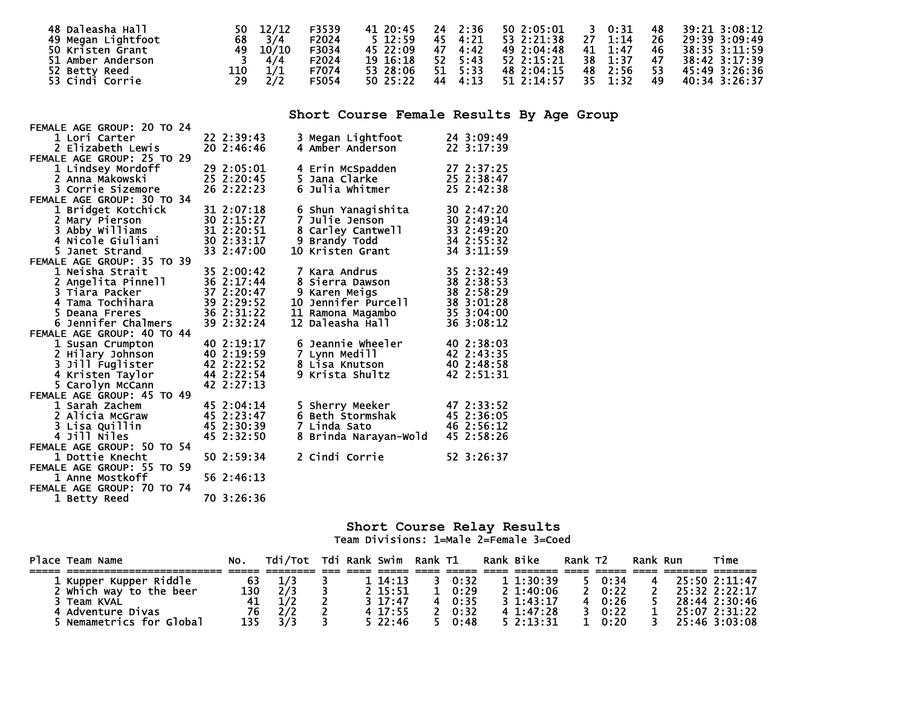| 48 Daleasha Hall<br>49 Megan Lightfoot                 | 50<br>68   | 12/12<br>3/4        | F3539<br>F2024          | 41 20:45<br>$5 \, 12:59$                                                                                                                                                                                                        | - 2:36<br>24<br>4:21<br>45             | 50 2:05:01<br>53 2:21:38                 | 0:31<br>3<br>27<br>1:14                | 48<br>26       | 39:21 3:08:12<br>29:39 3:09:49                  |
|--------------------------------------------------------|------------|---------------------|-------------------------|---------------------------------------------------------------------------------------------------------------------------------------------------------------------------------------------------------------------------------|----------------------------------------|------------------------------------------|----------------------------------------|----------------|-------------------------------------------------|
| 50 Kristen Grant<br>51 Amber Anderson<br>52 Betty Reed | 49<br>110  | 10/10<br>4/4<br>1/1 | F3034<br>F2024<br>F7074 | 45 22:09<br>19 16:18<br>53 28:06                                                                                                                                                                                                | 4:42<br>47<br>52<br>5:43<br>5:33<br>51 | 49 2:04:48<br>52 2:15:21<br>48 2:04:15   | 41<br>1:47<br>38<br>1:37<br>48<br>2:56 | 46<br>47<br>53 | 38:35 3:11:59<br>38:42 3:17:39<br>45:49 3:26:36 |
| 53 Cindi Corrie                                        | 29         | 2/2                 | F5054                   | 50 25:22                                                                                                                                                                                                                        | 4:13<br>44                             | 51 2:14:57                               | 35<br>1:32                             | 49             | 40:34 3:26:37                                   |
|                                                        |            |                     |                         |                                                                                                                                                                                                                                 |                                        | Short Course Female Results By Age Group |                                        |                |                                                 |
| FEMALE AGE GROUP: 20 TO 24                             |            |                     |                         |                                                                                                                                                                                                                                 |                                        |                                          |                                        |                |                                                 |
| 1 Lori Carter                                          | 22 2:39:43 |                     | 3 Megan Lightfoot       |                                                                                                                                                                                                                                 | 24 3:09:49                             |                                          |                                        |                |                                                 |
| 2 Elizabeth Lewis                                      | 20 2:46:46 |                     | 4 Amber Anderson        |                                                                                                                                                                                                                                 | 22 3:17:39                             |                                          |                                        |                |                                                 |
| FEMALE AGE GROUP: 25 TO 29                             |            |                     |                         |                                                                                                                                                                                                                                 |                                        |                                          |                                        |                |                                                 |
| 1 Lindsey Mordoff                                      | 29 2:05:01 |                     | 4 Erin McSpadden        |                                                                                                                                                                                                                                 | 27 2:37:25                             |                                          |                                        |                |                                                 |
| 2 Anna Makowski                                        | 25 2:20:45 |                     | 5 Jana Clarke           |                                                                                                                                                                                                                                 | 25 2:38:47                             |                                          |                                        |                |                                                 |
| 3 Corrie Sizemore                                      | 26 2:22:23 |                     | 6 Julia Whitmer         |                                                                                                                                                                                                                                 | 25 2:42:38                             |                                          |                                        |                |                                                 |
| FEMALE AGE GROUP: 30 TO 34                             | --------   |                     |                         | $\sim$ . The set of the set of the set of the set of the set of the set of the set of the set of the set of the set of the set of the set of the set of the set of the set of the set of the set of the set of the set of the s |                                        |                                          |                                        |                |                                                 |

| 1 Lori Carter              | 22 2:39:43 | 3 Megan Lightfoot      | 24 3:09:49 |
|----------------------------|------------|------------------------|------------|
| 2 Elizabeth Lewis          | 20 2:46:46 | 4 Amber Anderson       | 22 3:17:39 |
| FEMALE AGE GROUP: 25 TO 29 |            |                        |            |
| 1 Lindsey Mordoff          | 29 2:05:01 | 4 Erin McSpadden       | 27 2:37:25 |
| 2 Anna Makowski            | 25 2:20:45 | 5 Jana Clarke          | 25 2:38:47 |
| 3 Corrie Sizemore          | 26 2:22:23 | 6<br>Julia Whitmer     | 25 2:42:38 |
| FEMALE AGE GROUP: 30 TO 34 |            |                        |            |
| 1 Bridget Kotchick         | 31 2:07:18 | 6 Shun Yanagishita     | 30 2:47:20 |
| 2 Mary Pierson             | 30 2:15:27 | Julie Jenson<br>7      | 30 2:49:14 |
| 3 Abby Williams            | 31 2:20:51 | 8 Carley Cantwell      | 33 2:49:20 |
| 4 Nicole Giuliani          | 30 2:33:17 | 9 Brandy Todd          | 34 2:55:32 |
| 5 Janet Strand             | 33 2:47:00 | 10 Kristen Grant       | 34 3:11:59 |
| FEMALE AGE GROUP: 35 TO 39 |            |                        |            |
| 1 Neisha Strait            | 35 2:00:42 | 7 Kara Andrus          | 35 2:32:49 |
| 2 Angelita Pinnell         | 36 2:17:44 | Sierra Dawson          | 38 2:38:53 |
| 3 Tiara Packer             | 37 2:20:47 | 9 Karen Meigs          | 38 2:58:29 |
| 4 Tama Tochihara           | 39 2:29:52 | Jennifer Purcell<br>10 | 38 3:01:28 |
| 5.<br>Deana Freres         | 36 2:31:22 | 11 Ramona Magambo      | 35 3:04:00 |
| 6 Jennifer Chalmers        | 39 2:32:24 | Daleasha Hall<br>12    | 36 3:08:12 |
| FEMALE AGE GROUP: 40 TO 44 |            |                        |            |
| 1 Susan Crumpton           | 40 2:19:17 | Jeannie Wheeler        | 40 2:38:03 |
| 2 Hilary Johnson           | 40 2:19:59 | 7 Lynn Medill          | 42 2:43:35 |
| 3 Jill Fuglister           | 42 2:22:52 | 8 Lisa Knutson         | 40 2:48:58 |
| 4 Kristen Taylor           | 44 2:22:54 | 9 Krista Shultz        | 42 2:51:31 |
| 5 Carolyn McCann           | 42 2:27:13 |                        |            |
| FEMALE AGE GROUP: 45 TO 49 |            |                        |            |
| 1 Sarah Zachem             | 45 2:04:14 | 5 Sherry Meeker        | 47 2:33:52 |
| 2 Alicia McGraw            | 45 2:23:47 | 6 Beth Stormshak       | 45 2:36:05 |
| 3 Lisa Quillin             | 45 2:30:39 | 7 Linda Sato           | 46 2:56:12 |
| 4 Jill Niles               | 45 2:32:50 | Brinda Narayan-Wold    | 45 2:58:26 |
| FEMALE AGE GROUP: 50 TO 54 |            |                        |            |
| 1 Dottie Knecht            | 50 2:59:34 | 2 Cindi Corrie         | 52 3:26:37 |
| FEMALE AGE GROUP: 55 TO 59 |            |                        |            |
| 1 Anne Mostkoff            | 56 2:46:13 |                        |            |
| FEMALE AGE GROUP: 70 TO 74 |            |                        |            |
| 1 Betty Reed               | 70 3:26:36 |                        |            |

#### **Short Course Relay Results**  Team Divisions: 1=Male 2=Female 3=Coed

| Place Team Name           |     | Tdi/Tot |  | Tdi Rank Swim Rank T1 |      | Rank Bike |                | Rank T <sub>2</sub> |      | Rank Run | Time          |
|---------------------------|-----|---------|--|-----------------------|------|-----------|----------------|---------------------|------|----------|---------------|
|                           |     |         |  |                       |      |           |                |                     |      |          |               |
| Riddle<br>1 Kupper Kupper | 63  | 1/3     |  | 14:13                 | 0:32 |           | 11:30:39       |                     | 0:34 |          | 25:50 2:11:47 |
| which way to the beer     | 130 | 2/3     |  | $2\;15:51$            | 0:29 |           | $2 \; 1:40:06$ |                     | 0:22 |          | 25:32 2:22:17 |
| Team KVAL                 |     |         |  | $3 \t17:47$           | 0:35 |           | $3 \t1:43:17$  |                     | 0:26 |          | 28:44 2:30:46 |
| ' Adventure Divas         | 76  | 2/2     |  | 4 17:55               | 0:32 |           | 4 1:47:28      |                     | 0:22 |          | 25:07 2:31:22 |
| Nemametrics for Global    | 135 | 3/3     |  | 522:46                | 0:48 |           | 5.2:13:31      |                     | 0:20 |          | 25:46 3:03:08 |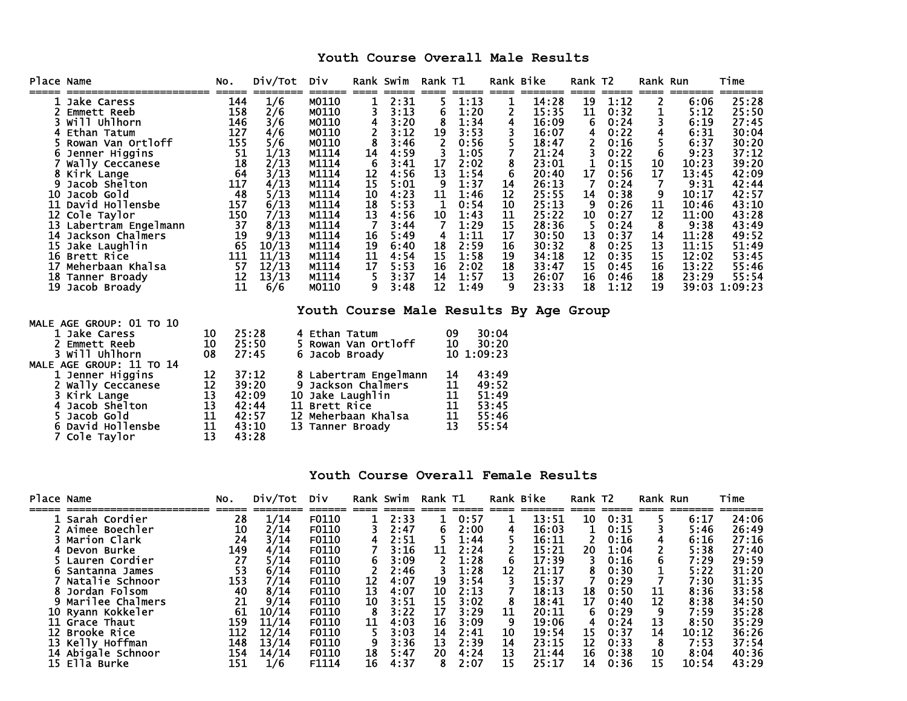## **Youth Course Overall Male Results**

| Place Name               |                                                                                                                                                                                                                                                                                                                                                              | NO.                                                                                                                              | Div/Tot                                                                                                                                            | Div                                                                                                                                                                               |                                                                                                                      | Rank Swim                                                                                                                                                     | Rank T1                                                                                                                    |                                                                                                                                                               | Rank Bike                                                                                                                |                                                                                                                                                                                    | Rank T2                                                                                                                       |                                                                                                                                                               | Rank Run                                                                                                   |                                                                                                                                                                   | Time                                                                                                                                                                            |
|--------------------------|--------------------------------------------------------------------------------------------------------------------------------------------------------------------------------------------------------------------------------------------------------------------------------------------------------------------------------------------------------------|----------------------------------------------------------------------------------------------------------------------------------|----------------------------------------------------------------------------------------------------------------------------------------------------|-----------------------------------------------------------------------------------------------------------------------------------------------------------------------------------|----------------------------------------------------------------------------------------------------------------------|---------------------------------------------------------------------------------------------------------------------------------------------------------------|----------------------------------------------------------------------------------------------------------------------------|---------------------------------------------------------------------------------------------------------------------------------------------------------------|--------------------------------------------------------------------------------------------------------------------------|------------------------------------------------------------------------------------------------------------------------------------------------------------------------------------|-------------------------------------------------------------------------------------------------------------------------------|---------------------------------------------------------------------------------------------------------------------------------------------------------------|------------------------------------------------------------------------------------------------------------|-------------------------------------------------------------------------------------------------------------------------------------------------------------------|---------------------------------------------------------------------------------------------------------------------------------------------------------------------------------|
| 6<br>9<br>10<br>18<br>19 | Jake Caress<br>Emmett Reeb<br>will Uhlhorn<br>Ethan Tatum<br>Rowan Van Ortloff<br>Jenner Higgins<br>Wally Ceccanese<br>8 Kirk Lange<br>Jacob Shelton<br>Jacob Gold<br><b>11 David Hollensbe</b><br>12 Cole Taylor<br>13 Labertram Engelmann<br>14 Jackson Chalmers<br>15 Jake Laughlin<br>16 Brett Rice<br>Meherbaan Khalsa<br>Tanner Broady<br>Jacob Broady | =====<br>144<br>158<br>146<br>127<br>155<br>51<br>18<br>64<br>117<br>48<br>157<br>150<br>37<br>19<br>65<br>111<br>57<br>12<br>11 | 1/6<br>2/6<br>3/6<br>4/6<br>5/6<br>1/13<br>2/13<br>3/13<br>4/13<br>5/13<br>6/13<br>7/13<br>8/13<br>9/13<br>10/13<br>11/13<br>12/13<br>13/13<br>6/6 | ======<br>M0110<br>M0110<br>M0110<br>M0110<br>M0110<br>M1114<br>M1114<br>M1114<br>M1114<br>M1114<br>M1114<br>M1114<br>M1114<br>M1114<br>M1114<br>M1114<br>M1114<br>M1114<br>M0110 | ====<br>1<br>3<br>4<br>$\frac{2}{8}$<br>14<br>6<br>12<br>15<br>10<br>18<br>13<br>7<br>16<br>19<br>11<br>17<br>5<br>9 | =====<br>2:31<br>3:13<br>3:20<br>3:12<br>3:46<br>4:59<br>3:41<br>4:56<br>5:01<br>4:23<br>5:53<br>4:56<br>3:44<br>5:49<br>6:40<br>4:54<br>5:53<br>3:37<br>3:48 | ====<br>5<br>6<br>8<br>19<br>$\overline{2}$<br>3<br>17<br>13<br>9<br>11<br>1<br>10<br>7<br>4<br>18<br>15<br>16<br>14<br>12 | =====<br>1:13<br>1:20<br>1:34<br>3:53<br>0:56<br>1:05<br>2:02<br>1:54<br>1:37<br>1:46<br>0:54<br>1:43<br>1:29<br>1:11<br>2:59<br>1:58<br>2:02<br>1:57<br>1:49 | $=$ $=$ $=$ $=$<br>1<br>2<br>4<br>3<br>5<br>7<br>8<br>6<br>14<br>12<br>10<br>11<br>15<br>17<br>16<br>19<br>18<br>13<br>q | =======<br>14:28<br>15:35<br>16:09<br>16:07<br>18:47<br>21:24<br>23:01<br>20:40<br>26:13<br>25:55<br>25:13<br>25:22<br>28:36<br>30:50<br>30:32<br>34:18<br>33:47<br>26:07<br>23:33 | $====$<br>19<br>11<br>6<br>4<br>2<br>3<br>1<br>17<br>$\overline{7}$<br>14<br>9<br>10<br>-5<br>13<br>8<br>12<br>15<br>16<br>18 | =====<br>1:12<br>0:32<br>0:24<br>0:22<br>0:16<br>0:22<br>0:15<br>0:56<br>0:24<br>0:38<br>0:26<br>0:27<br>0:24<br>0:37<br>0:25<br>0:35<br>0:45<br>0:46<br>1:12 | $====$<br>2<br>1<br>3<br>4<br>6<br>10<br>17<br>7<br>9<br>11<br>12<br>8<br>14<br>13<br>15<br>16<br>18<br>19 | =======<br>6:06<br>5:12<br>6:19<br>6:31<br>6:37<br>9:23<br>10:23<br>13:45<br>9:31<br>10:17<br>10:46<br>11:00<br>9:38<br>11:28<br>11:15<br>12:02<br>13:22<br>23:29 | 25:28<br>25:50<br>27:45<br>30:04<br>30:20<br>37:12<br>39:20<br>42:09<br>42:44<br>42:57<br>43:10<br>43:28<br>43:49<br>49:52<br>51:49<br>53:45<br>55:46<br>55:54<br>39:03 1:09:23 |
|                          |                                                                                                                                                                                                                                                                                                                                                              |                                                                                                                                  |                                                                                                                                                    |                                                                                                                                                                                   |                                                                                                                      |                                                                                                                                                               |                                                                                                                            |                                                                                                                                                               |                                                                                                                          | Youth Course Male Results By Age Group                                                                                                                                             |                                                                                                                               |                                                                                                                                                               |                                                                                                            |                                                                                                                                                                   |                                                                                                                                                                                 |
|                          | MALE AGE GROUP: 01 TO 10<br>1 Jake Caress<br><b>Emmett Reeb</b><br>3 Will Uhlhorn                                                                                                                                                                                                                                                                            | 10<br>10<br>08                                                                                                                   | 25:28<br>25:50<br>27:45                                                                                                                            | 4 Ethan Tatum<br>Rowan Van Ortloff<br>Jacob Broady<br>6.                                                                                                                          |                                                                                                                      |                                                                                                                                                               |                                                                                                                            | 09<br>10<br>10 1:09:23                                                                                                                                        | 30:04<br>30:20                                                                                                           |                                                                                                                                                                                    |                                                                                                                               |                                                                                                                                                               |                                                                                                            |                                                                                                                                                                   |                                                                                                                                                                                 |
|                          | MALE AGE GROUP: 11 TO 14<br>1 Jenner Higgins<br>2 Wally Ceccanese<br>Kirk Lange<br>Jacob Shelton<br>Jacob Gold<br>6 David Hollensbe                                                                                                                                                                                                                          | 12<br>12<br>13<br>13<br>11<br>11                                                                                                 | 37:12<br>39:20<br>42:09<br>10<br>42:44<br>11<br>42:57<br>12<br>43:10                                                                               | 8 Labertram Engelmann<br>9<br>Jackson Chalmers<br>Jake Laughlin<br><b>Brett Rice</b><br>Meherbaan Khalsa<br>13 Tanner Broady                                                      |                                                                                                                      |                                                                                                                                                               |                                                                                                                            | 14<br>11<br>11<br>11<br>11<br>13                                                                                                                              | 43:49<br>49:52<br>51:49<br>53:45<br>55:46<br>55:54                                                                       |                                                                                                                                                                                    |                                                                                                                               |                                                                                                                                                               |                                                                                                            |                                                                                                                                                                   |                                                                                                                                                                                 |

#### **Youth Course Overall Female Results**

| Place Name |                    | NO. | Div/Tot | Div          |    | Rank Swim | Rank T1 |      |    | Rank Bike | Rank T2 |      | Rank Run |       | Time  |
|------------|--------------------|-----|---------|--------------|----|-----------|---------|------|----|-----------|---------|------|----------|-------|-------|
|            | 1 Sarah Cordier    | 28  | 1/14    | <b>F0110</b> |    | 2:33      |         | 0:57 |    | 13:51     | 10      | 0:31 |          | 6:17  | 24:06 |
|            | Aimee Boechler     | 10  | 2/14    | F0110        |    | 2:47      | 6       | 2:00 | 4  | 16:03     |         | 0:15 |          | 5:46  | 26:49 |
|            | Marion Clark       | 24  | 3/14    | F0110        |    | 2:51      |         | 1:44 |    | 16:11     |         | 0:16 |          | 6:16  | 27:16 |
|            | Devon Burke        | 149 | 4/14    | F0110        |    | 3:16      | 11      | 2:24 |    | 15:21     | 20      | 1:04 |          | 5:38  | 27:40 |
|            | Lauren Cordier     | 27  | 5/14    | F0110        |    | 3:09      |         | 1:28 |    | 17:39     |         | 0:16 |          | 7:29  | 29:59 |
|            | Santanna James     | 53  | 6/14    | F0110        |    | 2:46      |         | 1:28 | 12 | 21:17     |         | 0:30 |          | 5:22  | 31:20 |
|            | Natalie Schnoor    | 153 | 7/14    | F0110        | 12 | 4:07      | 19      | 3:54 |    | 15:37     |         | 0:29 |          | 7:30  | 31:35 |
|            | Jordan Folsom      | 40  | 8/14    | F0110        | 13 | 4:07      | 10      | 2:13 |    | 18:13     | 18      | 0:50 | 11       | 8:36  | 33:58 |
|            | 9 Marilee Chalmers | 21  | 9/14    | F0110        | 10 | 3:51      | 15      | 3:02 |    | 18:41     | 17      | 0:40 | 12       | 8:38  | 34:50 |
|            | 10 Ryann Kokkeler  | 61  | 10/14   | F0110        |    | 3:22      | 17      | 3:29 | 11 | 20:11     |         | 0:29 |          | 7:59  | 35:28 |
|            | 11 Grace Thaut     | 159 | 11/14   | F0110        | 11 | 4:03      | 16      | 3:09 | 9  | 19:06     |         | 0:24 | 13       | 8:50  | 35:29 |
|            | 12 Brooke Rice     | 112 | 12/14   | F0110        |    | 3:03      | 14      | 2:41 | 10 | 19:54     | 15      | 0:37 | 14       | 10:12 | 36:26 |
|            | 13 Kelly Hoffman   | 148 | 13/14   | F0110        |    | 3:36      | 13      | 2:39 | 14 | 23:15     | 12      | 0:33 |          | 7:53  | 37:54 |
|            | 14 Abigale Schnoor | 154 | 14/14   | F0110        | 18 | 5:47      | 20      | 4:24 | 13 | 21:44     | 16      | 0:38 | 10       | 8:04  | 40:36 |
|            | 15 Ella Burke      | 151 | 1/6     | F1114        | 16 | 4:37      |         | 2:07 | 15 | 25:17     | 14      | 0:36 | 15       | 10:54 | 43:29 |

7 Cole Taylor 13 43:28